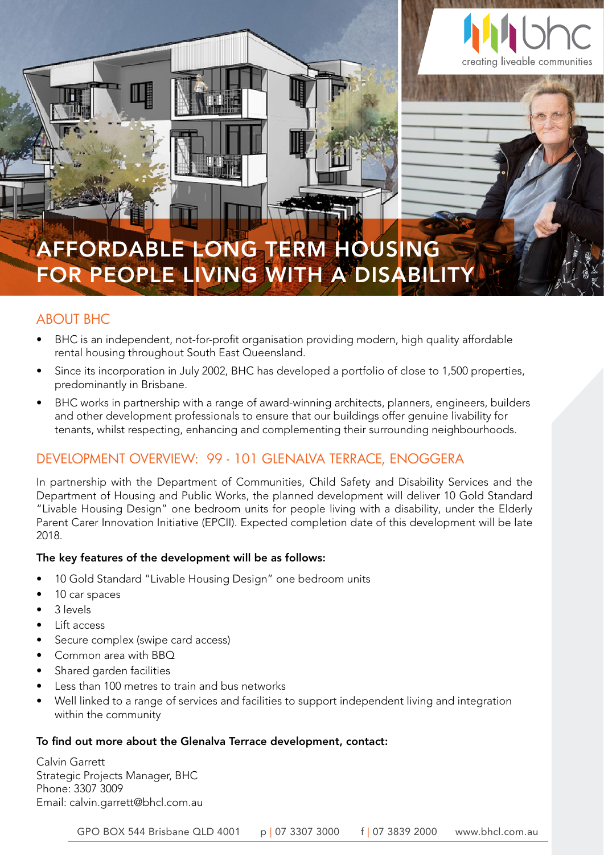

## AFFORDABLE LONG TERM HOUSING FOR PEOPLE LIVING WITH A DISABILIT

### ABOUT BHC

- BHC is an independent, not-for-profit organisation providing modern, high quality affordable rental housing throughout South East Queensland.
- Since its incorporation in July 2002, BHC has developed a portfolio of close to 1,500 properties, predominantly in Brisbane.
- BHC works in partnership with a range of award-winning architects, planners, engineers, builders and other development professionals to ensure that our buildings offer genuine livability for tenants, whilst respecting, enhancing and complementing their surrounding neighbourhoods.

### DEVELOPMENT OVERVIEW: 99 - 101 GLENALVA TERRACE, ENOGGERA

In partnership with the Department of Communities, Child Safety and Disability Services and the Department of Housing and Public Works, the planned development will deliver 10 Gold Standard "Livable Housing Design" one bedroom units for people living with a disability, under the Elderly Parent Carer Innovation Initiative (EPCII). Expected completion date of this development will be late 2018.

#### The key features of the development will be as follows:

- 10 Gold Standard "Livable Housing Design" one bedroom units
- 10 car spaces
- 3 levels
- Lift access
- Secure complex (swipe card access)
- Common area with BBQ
- Shared garden facilities
- Less than 100 metres to train and bus networks
- Well linked to a range of services and facilities to support independent living and integration within the community

#### To find out more about the Glenalva Terrace development, contact:

 $G_{\rm 54}$  Brisbane  $\mu$  3307  $\mu$  3307  $\mu$  3839  $\mu$  3839  $\mu$  3107  $\mu$  3839  $\mu$  3839  $\mu$ 

Calvin Garrett Strategic Projects Manager, BHC Phone: 3307 3009 Email: calvin.garrett@bhcl.com.au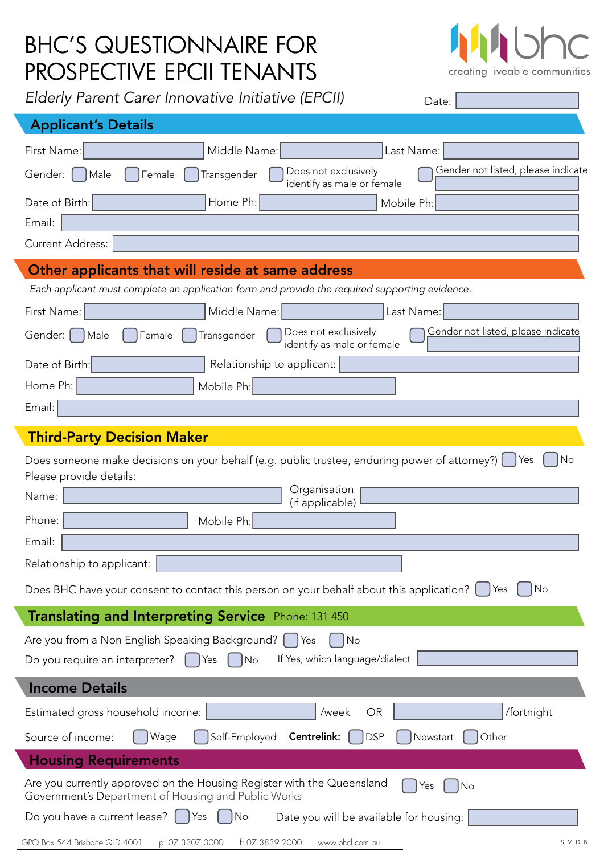# BHC'S QUESTIONNAIRE FOR PROSPECTIVE EPCII TENANTS

 $\mathbf{h}$  $\bigcap$ creating liveable communities

| Elderly Parent Carer Innovative Initiative (EPCII) | Date: |
|----------------------------------------------------|-------|
|----------------------------------------------------|-------|

| <b>Applicant's Details</b>                                                         |                                                                                                                                                                                           |
|------------------------------------------------------------------------------------|-------------------------------------------------------------------------------------------------------------------------------------------------------------------------------------------|
| First Name:                                                                        | Middle Name:<br>Last Name:                                                                                                                                                                |
| Gender:   Male                                                                     | Gender not listed, please indicate<br>Does not exclusively<br>Transgender<br>Female<br>identify as male or female                                                                         |
| Date of Birth:                                                                     | Home Ph:<br>Mobile Ph:                                                                                                                                                                    |
| Email:                                                                             |                                                                                                                                                                                           |
| <b>Current Address:</b>                                                            |                                                                                                                                                                                           |
|                                                                                    | Other applicants that will reside at same address                                                                                                                                         |
|                                                                                    | Each applicant must complete an application form and provide the required supporting evidence.                                                                                            |
| First Name:                                                                        | Middle Name:<br>Last Name:                                                                                                                                                                |
| Gender:     Male                                                                   | Gender not listed, please indicate<br>Does not exclusively<br>Female<br>Transgender<br>identify as male or female                                                                         |
| Date of Birth:                                                                     | Relationship to applicant:                                                                                                                                                                |
| Home Ph:                                                                           | Mobile Ph:                                                                                                                                                                                |
| Email:                                                                             |                                                                                                                                                                                           |
| Please provide details:<br>Name:<br>Phone:<br>Email:<br>Relationship to applicant: | Organisation<br>(if applicable)<br>Mobile Ph:<br>Does BHC have your consent to contact this person on your behalf about this application?<br>$\overline{\big }$ No<br>Yes                 |
|                                                                                    | Translating and Interpreting Service Phone: 131 450                                                                                                                                       |
|                                                                                    | Are you from a Non English Speaking Background?   Yes<br>No<br>If Yes, which language/dialect<br>Do you require an interpreter? $\begin{bmatrix} \end{bmatrix}$ Yes<br>$\vert$ $\vert$ No |
| <b>Income Details</b>                                                              |                                                                                                                                                                                           |
|                                                                                    | /fortnight<br>Estimated gross household income:<br>/week<br>OR                                                                                                                            |
| Source of income:                                                                  | Self-Employed<br>Centrelink:<br><b>DSP</b><br>Wage<br>Other<br>Newstart                                                                                                                   |
| <b>Housing Requirements</b>                                                        |                                                                                                                                                                                           |
|                                                                                    | Are you currently approved on the Housing Register with the Queensland<br>No<br>Yes<br>Government's Department of Housing and Public Works                                                |
|                                                                                    | Do you have a current lease? $\int$ Yes<br>Date you will be available for housing:<br>No                                                                                                  |
| GPO Box 544 Brisbane QLD 4001                                                      | p: 07 3307 3000<br>f: 07 3839 2000<br>www.bhcl.com.au<br>SMDB                                                                                                                             |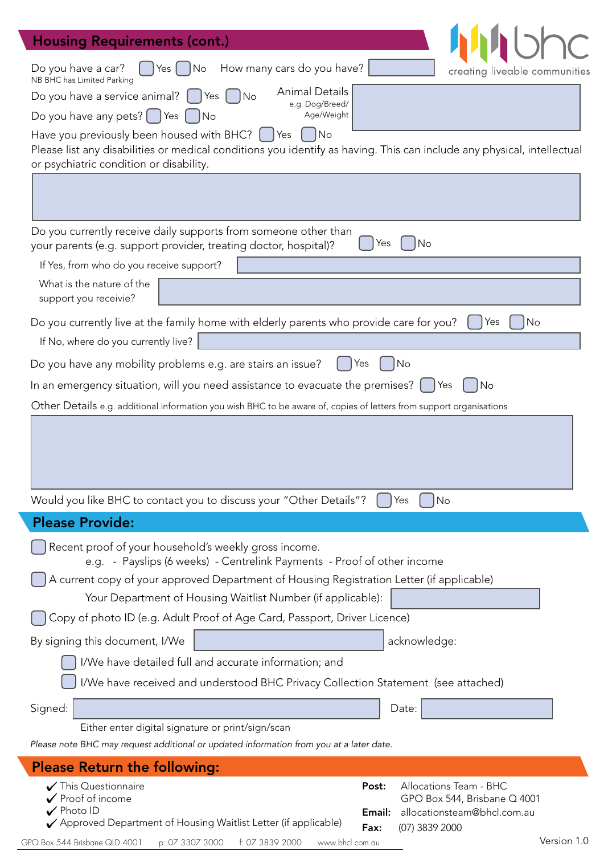| <b>Housing Requirements (cont.)</b>                                                                                                                                  |
|----------------------------------------------------------------------------------------------------------------------------------------------------------------------|
| How many cars do you have?<br>Do you have a car?<br>Yes $ $<br> No<br>creating liveable communities                                                                  |
| NB BHC has Limited Parking<br><b>Animal Details</b><br>Do you have a service animal? $\begin{bmatrix} \phantom{-} \end{bmatrix}$<br>Yes<br>  No                      |
| e.g. Dog/Breed/<br>Do you have any pets? $\begin{bmatrix} \end{bmatrix}$ Yes $\begin{bmatrix} \end{bmatrix}$<br>Age/Weight<br>$\overline{\big N}$                    |
| Have you previously been housed with BHC? [<br> No<br>Yes                                                                                                            |
| Please list any disabilities or medical conditions you identify as having. This can include any physical, intellectual<br>or psychiatric condition or disability.    |
|                                                                                                                                                                      |
|                                                                                                                                                                      |
| Do you currently receive daily supports from someone other than                                                                                                      |
| No<br>Yes<br>your parents (e.g. support provider, treating doctor, hospital)?<br>If Yes, from who do you receive support?                                            |
| What is the nature of the                                                                                                                                            |
| support you receivie?                                                                                                                                                |
| Do you currently live at the family home with elderly parents who provide care for you?<br>l No<br>Yes                                                               |
| If No, where do you currently live?                                                                                                                                  |
| Do you have any mobility problems e.g. are stairs an issue?<br>Yes<br>No                                                                                             |
| In an emergency situation, will you need assistance to evacuate the premises?  <br>No<br>Yes                                                                         |
| Other Details e.g. additional information you wish BHC to be aware of, copies of letters from support organisations                                                  |
|                                                                                                                                                                      |
|                                                                                                                                                                      |
|                                                                                                                                                                      |
| Would you like BHC to contact you to discuss your "Other Details"?<br>No<br>Yes                                                                                      |
| <b>Please Provide:</b>                                                                                                                                               |
| Recent proof of your household's weekly gross income.                                                                                                                |
| e.g. - Payslips (6 weeks) - Centrelink Payments - Proof of other income<br>A current copy of your approved Department of Housing Registration Letter (if applicable) |
| Your Department of Housing Waitlist Number (if applicable):                                                                                                          |
| Copy of photo ID (e.g. Adult Proof of Age Card, Passport, Driver Licence)                                                                                            |
| By signing this document, I/We<br>acknowledge:                                                                                                                       |
| I/We have detailed full and accurate information; and                                                                                                                |
| I/We have received and understood BHC Privacy Collection Statement (see attached)                                                                                    |
| Signed:<br>Date:                                                                                                                                                     |
| Either enter digital signature or print/sign/scan                                                                                                                    |
| Please note BHC may request additional or updated information from you at a later date.                                                                              |
| <b>Please Return the following:</b><br>This Questionnaire<br>Post:<br>Allocations Team - BHC                                                                         |
| Proof of income<br>GPO Box 544, Brisbane Q 4001                                                                                                                      |
| $\sqrt{\,}$ Photo ID<br>Email:<br>allocationsteam@bhcl.com.au<br>✔ Approved Department of Housing Waitlist Letter (if applicable)<br>(07) 3839 2000<br>Fax:          |